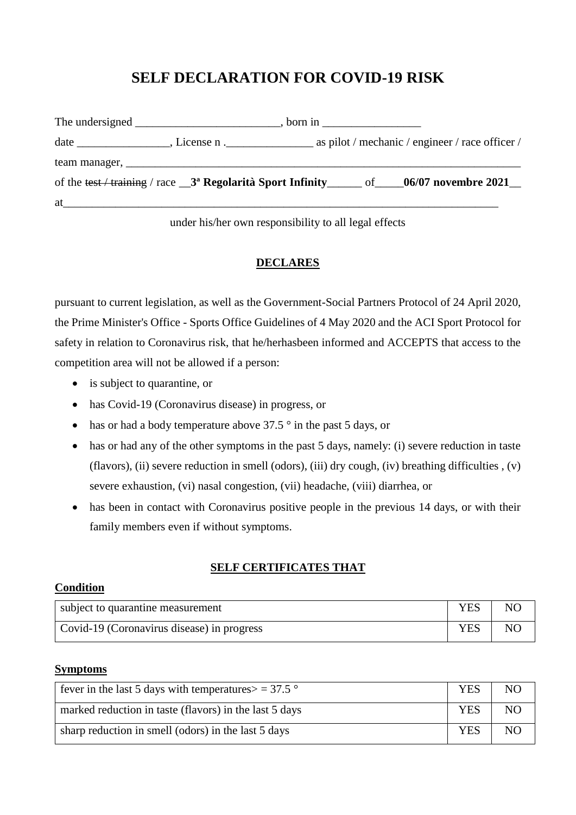# **SELF DECLARATION FOR COVID-19 RISK**

|    |  | of the test / training / race $\frac{3}{8}$ Regolarità Sport Infinity ______ of ____06/07 novembre 2021_ |
|----|--|----------------------------------------------------------------------------------------------------------|
| at |  |                                                                                                          |

under his/her own responsibility to all legal effects

### **DECLARES**

pursuant to current legislation, as well as the Government-Social Partners Protocol of 24 April 2020, the Prime Minister's Office - Sports Office Guidelines of 4 May 2020 and the ACI Sport Protocol for safety in relation to Coronavirus risk, that he/herhasbeen informed and ACCEPTS that access to the competition area will not be allowed if a person:

- is subject to quarantine, or
- has Covid-19 (Coronavirus disease) in progress, or
- has or had a body temperature above  $37.5^\circ$  in the past 5 days, or
- has or had any of the other symptoms in the past 5 days, namely: (i) severe reduction in taste (flavors), (ii) severe reduction in smell (odors), (iii) dry cough, (iv) breathing difficulties , (v) severe exhaustion, (vi) nasal congestion, (vii) headache, (viii) diarrhea, or
- has been in contact with Coronavirus positive people in the previous 14 days, or with their family members even if without symptoms.

#### **SELF CERTIFICATES THAT**

#### **Condition**

| subject to quarantine measurement          | <b>YES</b> | NO |
|--------------------------------------------|------------|----|
| Covid-19 (Coronavirus disease) in progress |            | NO |

#### **Symptoms**

| fever in the last 5 days with temperatures $>$ = 37.5 $\degree$ |  | N <sub>O</sub> |
|-----------------------------------------------------------------|--|----------------|
| marked reduction in taste (flavors) in the last 5 days          |  | NO.            |
| sharp reduction in smell (odors) in the last 5 days             |  | N <sub>O</sub> |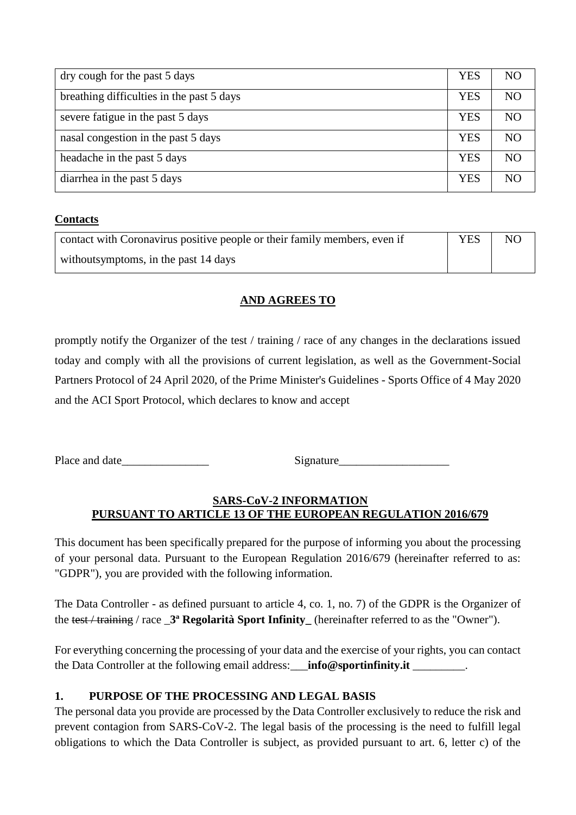| dry cough for the past 5 days             |  | NO.            |
|-------------------------------------------|--|----------------|
| breathing difficulties in the past 5 days |  | NO             |
| severe fatigue in the past 5 days         |  | NO             |
| nasal congestion in the past 5 days       |  | NO             |
| headache in the past 5 days               |  | NO             |
| diarrhea in the past 5 days               |  | N <sub>O</sub> |

### **Contacts**

| contact with Coronavirus positive people or their family members, even if | <b>YES</b> | N <sub>O</sub> |
|---------------------------------------------------------------------------|------------|----------------|
| without symptoms, in the past 14 days                                     |            |                |

## **AND AGREES TO**

promptly notify the Organizer of the test / training / race of any changes in the declarations issued today and comply with all the provisions of current legislation, as well as the Government-Social Partners Protocol of 24 April 2020, of the Prime Minister's Guidelines - Sports Office of 4 May 2020 and the ACI Sport Protocol, which declares to know and accept

Place and date\_\_\_\_\_\_\_\_\_\_\_\_\_\_\_ Signature\_\_\_\_\_\_\_\_\_\_\_\_\_\_\_\_\_\_\_

### **SARS-CoV-2 INFORMATION PURSUANT TO ARTICLE 13 OF THE EUROPEAN REGULATION 2016/679**

This document has been specifically prepared for the purpose of informing you about the processing of your personal data. Pursuant to the European Regulation 2016/679 (hereinafter referred to as: "GDPR"), you are provided with the following information.

The Data Controller - as defined pursuant to article 4, co. 1, no. 7) of the GDPR is the Organizer of the test / training / race \_**3ª Regolarità Sport Infinity\_** (hereinafter referred to as the "Owner").

For everything concerning the processing of your data and the exercise of your rights, you can contact the Data Controller at the following email address: **info@sportinfinity.it** ...

## **1. PURPOSE OF THE PROCESSING AND LEGAL BASIS**

The personal data you provide are processed by the Data Controller exclusively to reduce the risk and prevent contagion from SARS-CoV-2. The legal basis of the processing is the need to fulfill legal obligations to which the Data Controller is subject, as provided pursuant to art. 6, letter c) of the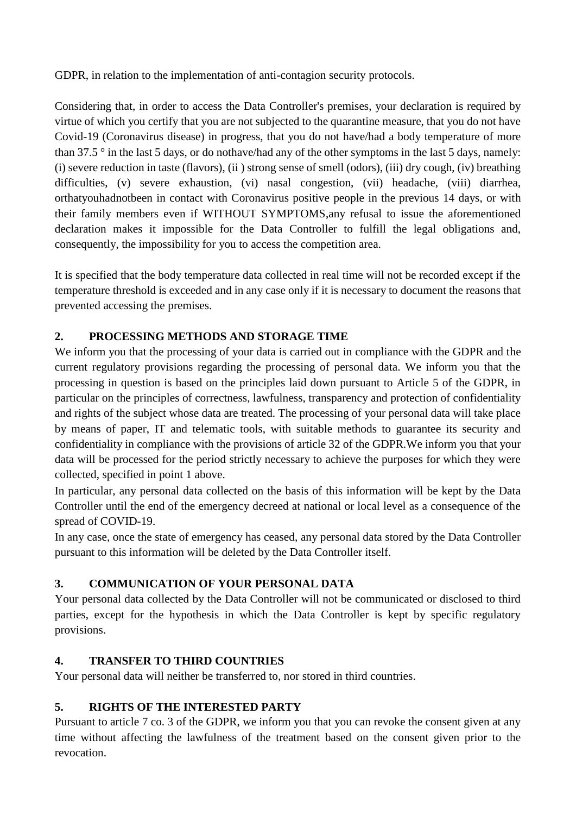GDPR, in relation to the implementation of anti-contagion security protocols.

Considering that, in order to access the Data Controller's premises, your declaration is required by virtue of which you certify that you are not subjected to the quarantine measure, that you do not have Covid-19 (Coronavirus disease) in progress, that you do not have/had a body temperature of more than 37.5 ° in the last 5 days, or do nothave/had any of the other symptoms in the last 5 days, namely: (i) severe reduction in taste (flavors), (ii ) strong sense of smell (odors), (iii) dry cough, (iv) breathing difficulties, (v) severe exhaustion, (vi) nasal congestion, (vii) headache, (viii) diarrhea, orthatyouhadnotbeen in contact with Coronavirus positive people in the previous 14 days, or with their family members even if WITHOUT SYMPTOMS,any refusal to issue the aforementioned declaration makes it impossible for the Data Controller to fulfill the legal obligations and, consequently, the impossibility for you to access the competition area.

It is specified that the body temperature data collected in real time will not be recorded except if the temperature threshold is exceeded and in any case only if it is necessary to document the reasons that prevented accessing the premises.

# **2. PROCESSING METHODS AND STORAGE TIME**

We inform you that the processing of your data is carried out in compliance with the GDPR and the current regulatory provisions regarding the processing of personal data. We inform you that the processing in question is based on the principles laid down pursuant to Article 5 of the GDPR, in particular on the principles of correctness, lawfulness, transparency and protection of confidentiality and rights of the subject whose data are treated. The processing of your personal data will take place by means of paper, IT and telematic tools, with suitable methods to guarantee its security and confidentiality in compliance with the provisions of article 32 of the GDPR.We inform you that your data will be processed for the period strictly necessary to achieve the purposes for which they were collected, specified in point 1 above.

In particular, any personal data collected on the basis of this information will be kept by the Data Controller until the end of the emergency decreed at national or local level as a consequence of the spread of COVID-19.

In any case, once the state of emergency has ceased, any personal data stored by the Data Controller pursuant to this information will be deleted by the Data Controller itself.

## **3. COMMUNICATION OF YOUR PERSONAL DATA**

Your personal data collected by the Data Controller will not be communicated or disclosed to third parties, except for the hypothesis in which the Data Controller is kept by specific regulatory provisions.

## **4. TRANSFER TO THIRD COUNTRIES**

Your personal data will neither be transferred to, nor stored in third countries.

## **5. RIGHTS OF THE INTERESTED PARTY**

Pursuant to article 7 co. 3 of the GDPR, we inform you that you can revoke the consent given at any time without affecting the lawfulness of the treatment based on the consent given prior to the revocation.